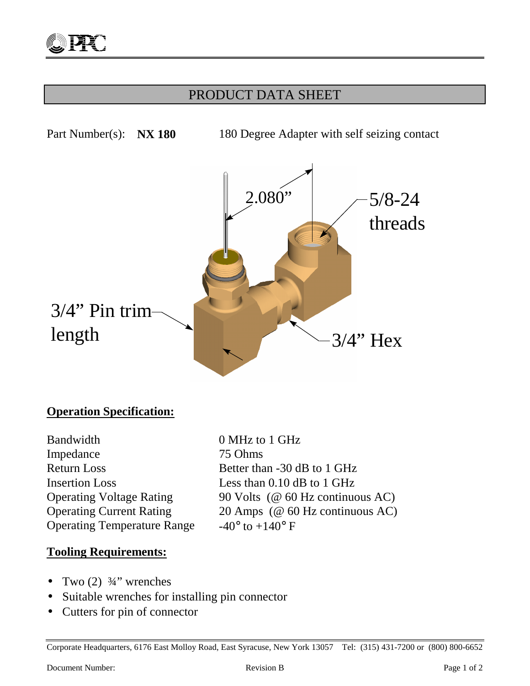## PRODUCT DATA SHEET



## **Operation Specification:**

Bandwidth 0 MHz to 1 GHz Impedance 75 Ohms Return Loss Better than -30 dB to 1 GHz Insertion Loss Less than 0.10 dB to 1 GHz Operating Temperature Range  $-40^{\circ}$  to  $+140^{\circ}$  F

Operating Voltage Rating 90 Volts (@ 60 Hz continuous AC) Operating Current Rating 20 Amps (@ 60 Hz continuous AC)

#### **Tooling Requirements:**

- Two  $(2)$   $\frac{3}{4}$ " wrenches
- Suitable wrenches for installing pin connector
- Cutters for pin of connector

Corporate Headquarters, 6176 East Molloy Road, East Syracuse, New York 13057 Tel: (315) 431-7200 or (800) 800-6652